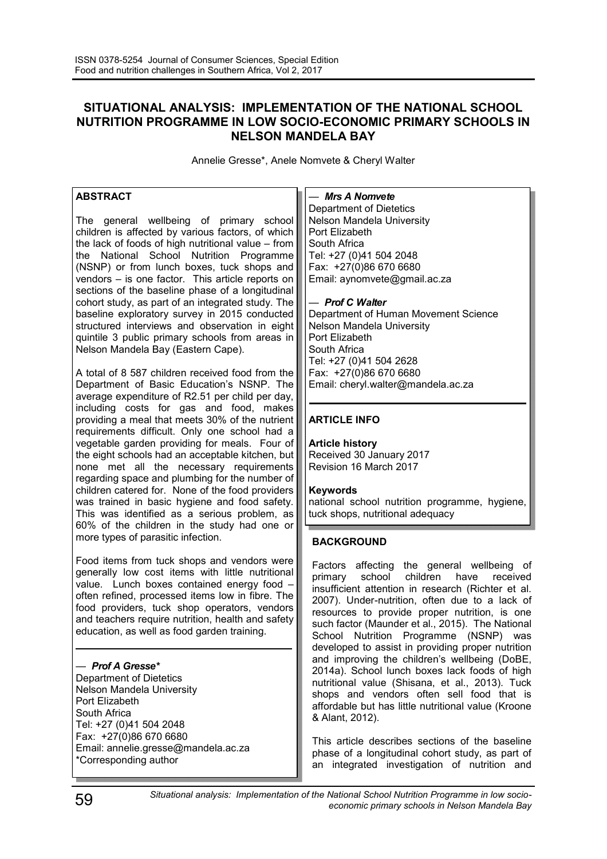# **SITUATIONAL ANALYSIS: IMPLEMENTATION OF THE NATIONAL SCHOOL NUTRITION PROGRAMME IN LOW SOCIO-ECONOMIC PRIMARY SCHOOLS IN NELSON MANDELA BAY**

Annelie Gresse\*, Anele Nomvete & Cheryl Walter

### **ABSTRACT**

The general wellbeing of primary school children is affected by various factors, of which the lack of foods of high nutritional value  $-$  from the National School Nutrition Programme (NSNP) or from lunch boxes, tuck shops and vendors – is one factor. This article reports on sections of the baseline phase of a longitudinal cohort study, as part of an integrated study. The baseline exploratory survey in 2015 conducted structured interviews and observation in eight quintile 3 public primary schools from areas in Nelson Mandela Bay (Eastern Cape).

A total of 8 587 children received food from the Department of Basic Education's NSNP. The average expenditure of R2.51 per child per day, including costs for gas and food, makes providing a meal that meets 30% of the nutrient requirements difficult. Only one school had a vegetable garden providing for meals. Four of the eight schools had an acceptable kitchen, but none met all the necessary requirements regarding space and plumbing for the number of children catered for. None of the food providers was trained in basic hygiene and food safety. This was identified as a serious problem, as 60% of the children in the study had one or more types of parasitic infection.

Food items from tuck shops and vendors were generally low cost items with little nutritional value. Lunch boxes contained energy food often refined, processed items low in fibre. The food providers, tuck shop operators, vendors and teachers require nutrition, health and safety education, as well as food garden training.

### *— Prof A Gresse\**

Department of Dietetics Nelson Mandela University Port Elizabeth South Africa Tel: +27 (0)41 504 2048 Fax: +27(0)86 670 6680 Email: annelie.gresse@mandela.ac.za \*Corresponding author

#### *— Mrs A Nomvete*

Department of Dietetics Nelson Mandela University Port Elizabeth South Africa Tel: +27 (0)41 504 2048 Fax: +27(0)86 670 6680 Email: aynomvete@gmail.ac.za

#### *— Prof C Walter*

Department of Human Movement Science Nelson Mandela University Port Elizabeth South Africa Tel: +27 (0)41 504 2628 Fax: +27(0)86 670 6680 Email: cheryl.walter@mandela.ac.za

### **ARTICLE INFO**

**Article history** Received 30 January 2017 Revision 16 March 2017

#### **Keywords**

national school nutrition programme, hygiene, tuck shops, nutritional adequacy

### **BACKGROUND**

Factors affecting the general wellbeing of primary school children have received insufficient attention in research (Richter et al. 2007). Under-nutrition, often due to a lack of resources to provide proper nutrition, is one such factor (Maunder et al., 2015). The National School Nutrition Programme (NSNP) was developed to assist in providing proper nutrition and improving the children's wellbeing (DoBE, 2014a). School lunch boxes lack foods of high nutritional value (Shisana, et al., 2013). Tuck shops and vendors often sell food that is affordable but has little nutritional value (Kroone & Alant, 2012).

This article describes sections of the baseline phase of a longitudinal cohort study, as part of an integrated investigation of nutrition and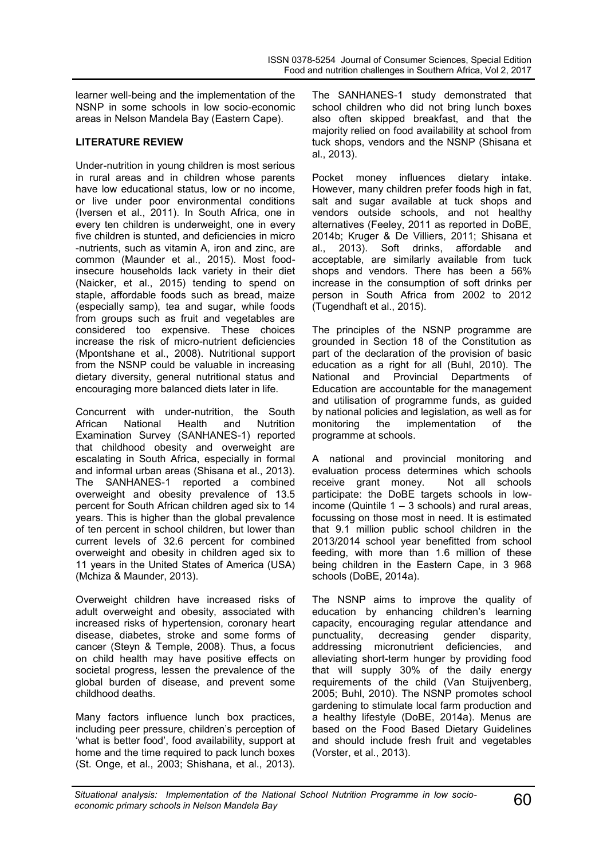learner well-being and the implementation of the NSNP in some schools in low socio-economic areas in Nelson Mandela Bay (Eastern Cape).

### **LITERATURE REVIEW**

Under-nutrition in young children is most serious in rural areas and in children whose parents have low educational status, low or no income, or live under poor environmental conditions (Iversen et al., 2011). In South Africa, one in every ten children is underweight, one in every five children is stunted, and deficiencies in micro -nutrients, such as vitamin A, iron and zinc, are common (Maunder et al., 2015). Most foodinsecure households lack variety in their diet (Naicker, et al., 2015) tending to spend on staple, affordable foods such as bread, maize (especially samp), tea and sugar, while foods from groups such as fruit and vegetables are considered too expensive. These choices increase the risk of micro-nutrient deficiencies (Mpontshane et al., 2008). Nutritional support from the NSNP could be valuable in increasing dietary diversity, general nutritional status and encouraging more balanced diets later in life.

Concurrent with under-nutrition, the South African National Health and Nutrition Examination Survey (SANHANES-1) reported that childhood obesity and overweight are escalating in South Africa, especially in formal and informal urban areas (Shisana et al., 2013). The SANHANES-1 reported a combined overweight and obesity prevalence of 13.5 percent for South African children aged six to 14 years. This is higher than the global prevalence of ten percent in school children, but lower than current levels of 32.6 percent for combined overweight and obesity in children aged six to 11 years in the United States of America (USA) (Mchiza & Maunder, 2013).

Overweight children have increased risks of adult overweight and obesity, associated with increased risks of hypertension, coronary heart disease, diabetes, stroke and some forms of cancer (Steyn & Temple, 2008). Thus, a focus on child health may have positive effects on societal progress, lessen the prevalence of the global burden of disease, and prevent some childhood deaths.

Many factors influence lunch box practices, including peer pressure, children's perception of 'what is better food', food availability, support at home and the time required to pack lunch boxes (St. Onge, et al., 2003; Shishana, et al., 2013). The SANHANES-1 study demonstrated that school children who did not bring lunch boxes also often skipped breakfast, and that the majority relied on food availability at school from tuck shops, vendors and the NSNP (Shisana et al., 2013).

Pocket money influences dietary intake. However, many children prefer foods high in fat, salt and sugar available at tuck shops and vendors outside schools, and not healthy alternatives (Feeley, 2011 as reported in DoBE, 2014b; Kruger & De Villiers, 2011; Shisana et al., 2013). Soft drinks, affordable and acceptable, are similarly available from tuck shops and vendors. There has been a 56% increase in the consumption of soft drinks per person in South Africa from 2002 to 2012 (Tugendhaft et al., 2015).

The principles of the NSNP programme are grounded in Section 18 of the Constitution as part of the declaration of the provision of basic education as a right for all (Buhl, 2010). The National and Provincial Departments of Education are accountable for the management and utilisation of programme funds, as guided by national policies and legislation, as well as for monitoring the implementation of the programme at schools.

A national and provincial monitoring and evaluation process determines which schools receive grant money. Not all schools participate: the DoBE targets schools in lowincome (Quintile  $1 - 3$  schools) and rural areas, focussing on those most in need. It is estimated that 9.1 million public school children in the 2013/2014 school year benefitted from school feeding, with more than 1.6 million of these being children in the Eastern Cape, in 3 968 schools (DoBE, 2014a).

The NSNP aims to improve the quality of education by enhancing children's learning capacity, encouraging regular attendance and punctuality, decreasing gender disparity, addressing micronutrient deficiencies, and alleviating short-term hunger by providing food that will supply 30% of the daily energy requirements of the child (Van Stuijvenberg, 2005; Buhl, 2010). The NSNP promotes school gardening to stimulate local farm production and a healthy lifestyle (DoBE, 2014a). Menus are based on the Food Based Dietary Guidelines and should include fresh fruit and vegetables (Vorster, et al., 2013).

*Situational analysis: Implementation of the National School Nutrition Programme in low socio-economic primary schools in Nelson Mandela Bay* 60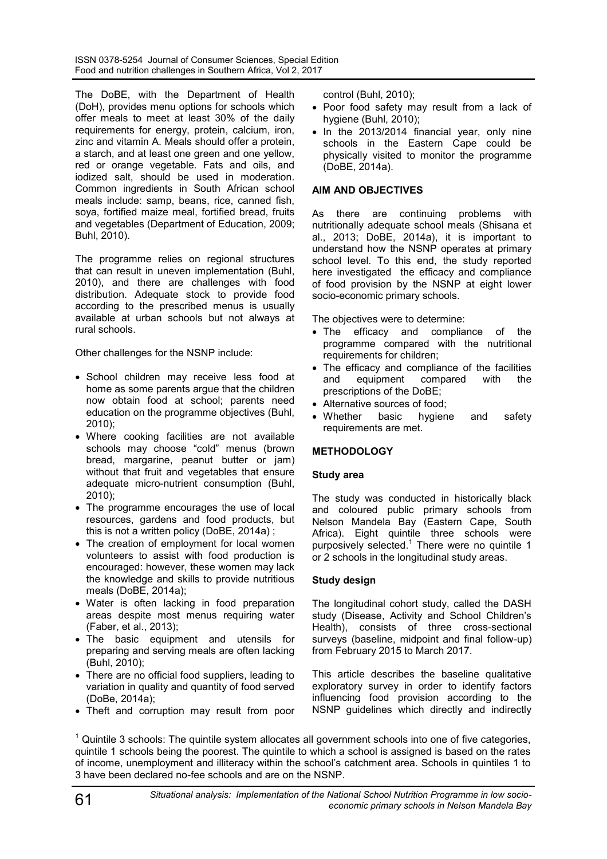The DoBE, with the Department of Health (DoH), provides menu options for schools which offer meals to meet at least 30% of the daily requirements for energy, protein, calcium, iron, zinc and vitamin A. Meals should offer a protein, a starch, and at least one green and one yellow, red or orange vegetable. Fats and oils, and iodized salt, should be used in moderation. Common ingredients in South African school meals include: samp, beans, rice, canned fish, soya, fortified maize meal, fortified bread, fruits and vegetables (Department of Education, 2009; Buhl, 2010).

The programme relies on regional structures that can result in uneven implementation (Buhl, 2010), and there are challenges with food distribution. Adequate stock to provide food according to the prescribed menus is usually available at urban schools but not always at rural schools.

Other challenges for the NSNP include:

- School children may receive less food at home as some parents argue that the children now obtain food at school; parents need education on the programme objectives (Buhl, 2010);
- Where cooking facilities are not available schools may choose "cold" menus (brown bread, margarine, peanut butter or jam) without that fruit and vegetables that ensure adequate micro-nutrient consumption (Buhl, 2010);
- The programme encourages the use of local resources, gardens and food products, but this is not a written policy (DoBE, 2014a) ;
- The creation of employment for local women volunteers to assist with food production is encouraged: however, these women may lack the knowledge and skills to provide nutritious meals (DoBE, 2014a);
- Water is often lacking in food preparation areas despite most menus requiring water (Faber, et al., 2013);
- The basic equipment and utensils for preparing and serving meals are often lacking (Buhl, 2010);
- There are no official food suppliers, leading to variation in quality and quantity of food served (DoBe, 2014a);
- Theft and corruption may result from poor

control (Buhl, 2010);

- Poor food safety may result from a lack of hygiene (Buhl, 2010);
- In the 2013/2014 financial year, only nine schools in the Eastern Cape could be physically visited to monitor the programme (DoBE, 2014a).

### **AIM AND OBJECTIVES**

As there are continuing problems with nutritionally adequate school meals (Shisana et al., 2013; DoBE, 2014a), it is important to understand how the NSNP operates at primary school level. To this end, the study reported here investigated the efficacy and compliance of food provision by the NSNP at eight lower socio-economic primary schools.

The objectives were to determine:

- The efficacy and compliance of the programme compared with the nutritional requirements for children;
- The efficacy and compliance of the facilities and equipment compared with the prescriptions of the DoBE;
- Alternative sources of food;
- Whether basic hygiene and safety requirements are met.

# **METHODOLOGY**

### **Study area**

The study was conducted in historically black and coloured public primary schools from Nelson Mandela Bay (Eastern Cape, South Africa). Eight quintile three schools were purposively selected.<sup>1</sup> There were no quintile 1 or 2 schools in the longitudinal study areas.

# **Study design**

The longitudinal cohort study, called the DASH study (Disease, Activity and School Children's Health), consists of three cross-sectional surveys (baseline, midpoint and final follow-up) from February 2015 to March 2017.

This article describes the baseline qualitative exploratory survey in order to identify factors influencing food provision according to the NSNP guidelines which directly and indirectly

 $1$  Quintile 3 schools: The quintile system allocates all government schools into one of five categories, quintile 1 schools being the poorest. The quintile to which a school is assigned is based on the rates of income, unemployment and illiteracy within the school's catchment area. Schools in quintiles 1 to 3 have been declared no-fee schools and are on the NSNP.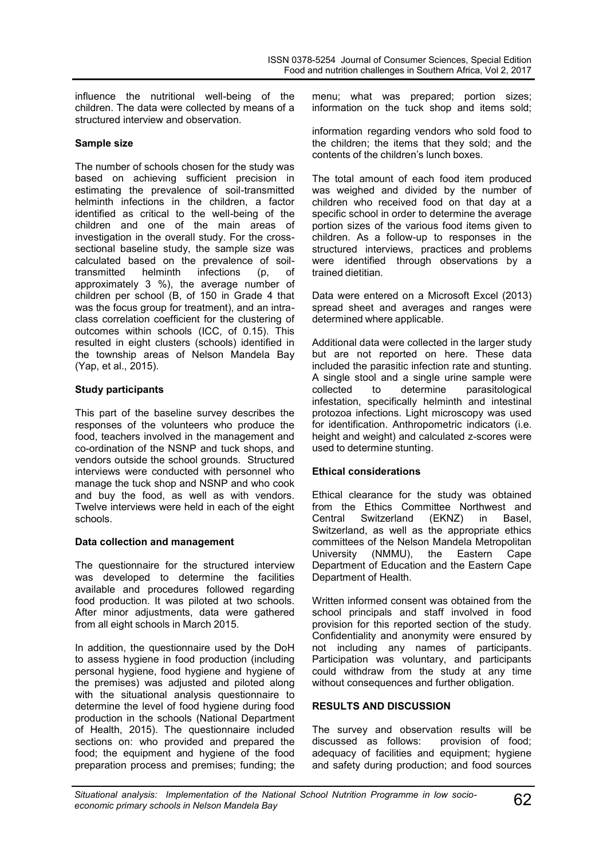influence the nutritional well-being of the children. The data were collected by means of a structured interview and observation.

### **Sample size**

The number of schools chosen for the study was based on achieving sufficient precision in estimating the prevalence of soil-transmitted helminth infections in the children, a factor identified as critical to the well-being of the children and one of the main areas of investigation in the overall study. For the crosssectional baseline study, the sample size was calculated based on the prevalence of soil-<br>transmitted helminth infections (p, of transmitted helminth infections (p, of approximately 3 %), the average number of children per school (B, of 150 in Grade 4 that was the focus group for treatment), and an intraclass correlation coefficient for the clustering of outcomes within schools (ICC, of 0.15). This resulted in eight clusters (schools) identified in the township areas of Nelson Mandela Bay (Yap, et al., 2015).

#### **Study participants**

This part of the baseline survey describes the responses of the volunteers who produce the food, teachers involved in the management and co-ordination of the NSNP and tuck shops, and vendors outside the school grounds. Structured interviews were conducted with personnel who manage the tuck shop and NSNP and who cook and buy the food, as well as with vendors. Twelve interviews were held in each of the eight schools.

#### **Data collection and management**

The questionnaire for the structured interview was developed to determine the facilities available and procedures followed regarding food production. It was piloted at two schools. After minor adjustments, data were gathered from all eight schools in March 2015.

In addition, the questionnaire used by the DoH to assess hygiene in food production (including personal hygiene, food hygiene and hygiene of the premises) was adjusted and piloted along with the situational analysis questionnaire to determine the level of food hygiene during food production in the schools (National Department of Health, 2015). The questionnaire included sections on: who provided and prepared the food; the equipment and hygiene of the food preparation process and premises; funding; the

menu; what was prepared; portion sizes; information on the tuck shop and items sold;

information regarding vendors who sold food to the children; the items that they sold; and the contents of the children's lunch boxes.

The total amount of each food item produced was weighed and divided by the number of children who received food on that day at a specific school in order to determine the average portion sizes of the various food items given to children. As a follow-up to responses in the structured interviews, practices and problems were identified through observations by a trained dietitian.

Data were entered on a Microsoft Excel (2013) spread sheet and averages and ranges were determined where applicable.

Additional data were collected in the larger study but are not reported on here. These data included the parasitic infection rate and stunting. A single stool and a single urine sample were collected to determine parasitological infestation, specifically helminth and intestinal protozoa infections. Light microscopy was used for identification. Anthropometric indicators (i.e. height and weight) and calculated z-scores were used to determine stunting.

### **Ethical considerations**

Ethical clearance for the study was obtained from the Ethics Committee Northwest and Central Switzerland (EKNZ) in Basel, Switzerland, as well as the appropriate ethics committees of the Nelson Mandela Metropolitan<br>University (NMMU), the Eastern Cape University (NMMU), the Eastern Cape Department of Education and the Eastern Cape Department of Health.

Written informed consent was obtained from the school principals and staff involved in food provision for this reported section of the study. Confidentiality and anonymity were ensured by not including any names of participants. Participation was voluntary, and participants could withdraw from the study at any time without consequences and further obligation.

### **RESULTS AND DISCUSSION**

The survey and observation results will be discussed as follows: provision of food; adequacy of facilities and equipment; hygiene and safety during production; and food sources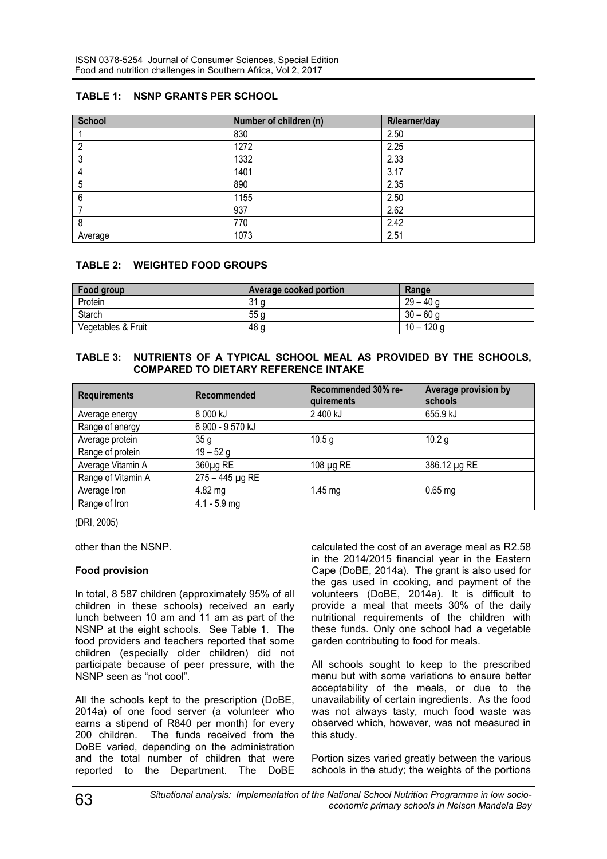# **TABLE 1: NSNP GRANTS PER SCHOOL**

| <b>School</b> | Number of children (n) | R/learner/day |
|---------------|------------------------|---------------|
|               | 830                    | 2.50          |
| ∩             | 1272                   | 2.25          |
| ົ<br>J        | 1332                   | 2.33          |
|               | 1401                   | 3.17          |
| 5             | 890                    | 2.35          |
| 6             | 1155                   | 2.50          |
|               | 937                    | 2.62          |
| 8             | 770                    | 2.42          |
| Average       | 1073                   | 2.51          |

# **TABLE 2: WEIGHTED FOOD GROUPS**

| Food group         | <b>Average cooked portion</b> | Range        |
|--------------------|-------------------------------|--------------|
| Protein            | 31 g                          | $29 - 40q$   |
| Starch             | 55 <sub>g</sub>               | $30 - 60$ g  |
| Vegetables & Fruit | 48 g                          | $10 - 120$ g |

### **TABLE 3: NUTRIENTS OF A TYPICAL SCHOOL MEAL AS PROVIDED BY THE SCHOOLS, COMPARED TO DIETARY REFERENCE INTAKE**

| <b>Requirements</b> | Recommended       | Recommended 30% re-<br>quirements | Average provision by<br>schools |
|---------------------|-------------------|-----------------------------------|---------------------------------|
| Average energy      | 8 000 kJ          | 2 400 kJ                          | 655.9 kJ                        |
| Range of energy     | 6 900 - 9 570 kJ  |                                   |                                 |
| Average protein     | 35g               | 10.5 g                            | 10.2 g                          |
| Range of protein    | $19 - 52$ g       |                                   |                                 |
| Average Vitamin A   | $360µq$ RE        | 108 $\mu$ g RE                    | 386.12 µg RE                    |
| Range of Vitamin A  | $275 - 445$ µg RE |                                   |                                 |
| Average Iron        | 4.82 mg           | $1.45$ mg                         | $0.65$ mg                       |
| Range of Iron       | $4.1 - 5.9$ mg    |                                   |                                 |

(DRI, 2005)

other than the NSNP.

### **Food provision**

In total, 8 587 children (approximately 95% of all children in these schools) received an early lunch between 10 am and 11 am as part of the NSNP at the eight schools. See Table 1. The food providers and teachers reported that some children (especially older children) did not participate because of peer pressure, with the NSNP seen as "not cool".

All the schools kept to the prescription (DoBE, 2014a) of one food server (a volunteer who earns a stipend of R840 per month) for every 200 children. The funds received from the DoBE varied, depending on the administration and the total number of children that were reported to the Department. The DoBE

calculated the cost of an average meal as R2.58 in the 2014/2015 financial year in the Eastern Cape (DoBE, 2014a). The grant is also used for the gas used in cooking, and payment of the volunteers (DoBE, 2014a). It is difficult to provide a meal that meets 30% of the daily nutritional requirements of the children with these funds. Only one school had a vegetable garden contributing to food for meals.

All schools sought to keep to the prescribed menu but with some variations to ensure better acceptability of the meals, or due to the unavailability of certain ingredients. As the food was not always tasty, much food waste was observed which, however, was not measured in this study.

Portion sizes varied greatly between the various schools in the study; the weights of the portions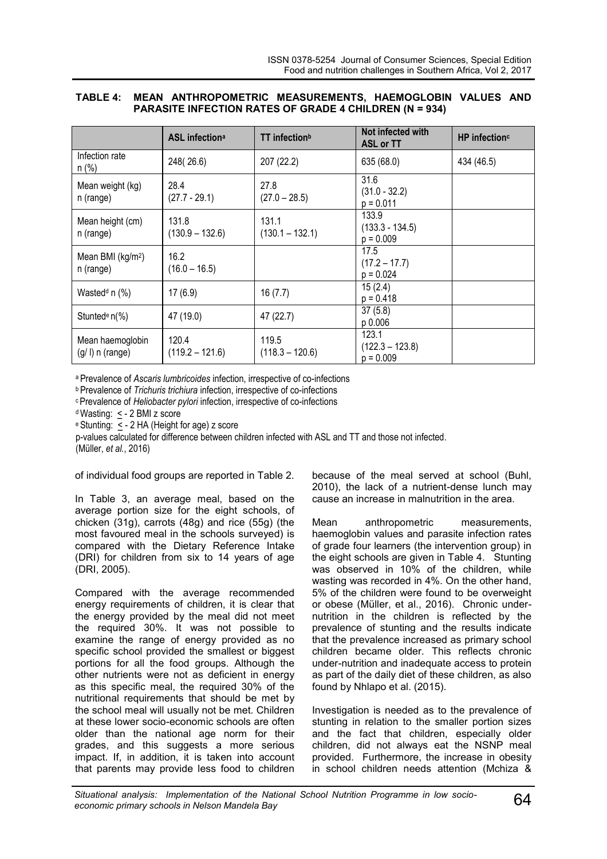|  | TABLE 4: MEAN ANTHROPOMETRIC MEASUREMENTS, HAEMOGLOBIN VALUES AND |  |  |
|--|-------------------------------------------------------------------|--|--|
|  | <b>PARASITE INFECTION RATES OF GRADE 4 CHILDREN (N = 934)</b>     |  |  |

|                                            | <b>ASL infectiona</b>      | TT infection <sup>b</sup>  | Not infected with<br><b>ASL or TT</b>     | HP infection <sup>c</sup> |
|--------------------------------------------|----------------------------|----------------------------|-------------------------------------------|---------------------------|
| Infection rate<br>$n$ (%)                  | 248(26.6)                  | 207 (22.2)                 | 635 (68.0)                                | 434 (46.5)                |
| Mean weight (kg)<br>n (range)              | 28.4<br>$(27.7 - 29.1)$    | 27.8<br>$(27.0 - 28.5)$    | 31.6<br>$(31.0 - 32.2)$<br>$p = 0.011$    |                           |
| Mean height (cm)<br>n (range)              | 131.8<br>$(130.9 - 132.6)$ | 131.1<br>$(130.1 - 132.1)$ | 133.9<br>$(133.3 - 134.5)$<br>$p = 0.009$ |                           |
| Mean BMI (kg/m <sup>2</sup> )<br>n (range) | 16.2<br>$(16.0 - 16.5)$    |                            | 17.5<br>$(17.2 - 17.7)$<br>$p = 0.024$    |                           |
| Wasted <sup>d</sup> n $(\%)$               | 17(6.9)                    | 16(7.7)                    | 15(2.4)<br>$p = 0.418$                    |                           |
| Stunted <sup>e</sup> $n$ <sup>(%)</sup>    | 47 (19.0)                  | 47 (22.7)                  | 37(5.8)<br>p 0.006                        |                           |
| Mean haemoglobin<br>$(g/ I)$ n (range)     | 120.4<br>$(119.2 - 121.6)$ | 119.5<br>$(118.3 - 120.6)$ | 123.1<br>$(122.3 - 123.8)$<br>$p = 0.009$ |                           |

<sup>a</sup>Prevalence of *Ascaris lumbricoides* infection, irrespective of co-infections

*b* Prevalence of *Trichuris trichiura* infection, irrespective of co-infections

<sup>c</sup>Prevalence of *Heliobacter pylori* infection, irrespective of co-infections

<sup>d</sup> Wasting:  $\leq$  - 2 BMI z score

e Stunting:  $\leq$  - 2 HA (Height for age) z score

p-values calculated for difference between children infected with ASL and TT and those not infected.

(Müller, *et al.*, 2016)

of individual food groups are reported in Table 2.

In Table 3, an average meal, based on the average portion size for the eight schools, of chicken (31g), carrots (48g) and rice (55g) (the most favoured meal in the schools surveyed) is compared with the Dietary Reference Intake (DRI) for children from six to 14 years of age (DRI, 2005).

Compared with the average recommended energy requirements of children, it is clear that the energy provided by the meal did not meet the required 30%. It was not possible to examine the range of energy provided as no specific school provided the smallest or biggest portions for all the food groups. Although the other nutrients were not as deficient in energy as this specific meal, the required 30% of the nutritional requirements that should be met by the school meal will usually not be met. Children at these lower socio-economic schools are often older than the national age norm for their grades, and this suggests a more serious impact. If, in addition, it is taken into account that parents may provide less food to children

because of the meal served at school (Buhl, 2010), the lack of a nutrient-dense lunch may cause an increase in malnutrition in the area.

Mean anthropometric measurements, haemoglobin values and parasite infection rates of grade four learners (the intervention group) in the eight schools are given in Table 4. Stunting was observed in 10% of the children, while wasting was recorded in 4%. On the other hand, 5% of the children were found to be overweight or obese (Müller, et al., 2016). Chronic undernutrition in the children is reflected by the prevalence of stunting and the results indicate that the prevalence increased as primary school children became older. This reflects chronic under-nutrition and inadequate access to protein as part of the daily diet of these children, as also found by Nhlapo et al. (2015).

Investigation is needed as to the prevalence of stunting in relation to the smaller portion sizes and the fact that children, especially older children, did not always eat the NSNP meal provided. Furthermore, the increase in obesity in school children needs attention (Mchiza &

*Situational analysis: Implementation of the National School Nutrition Programme in low socio-economic primary schools in Nelson Mandela Bay* 64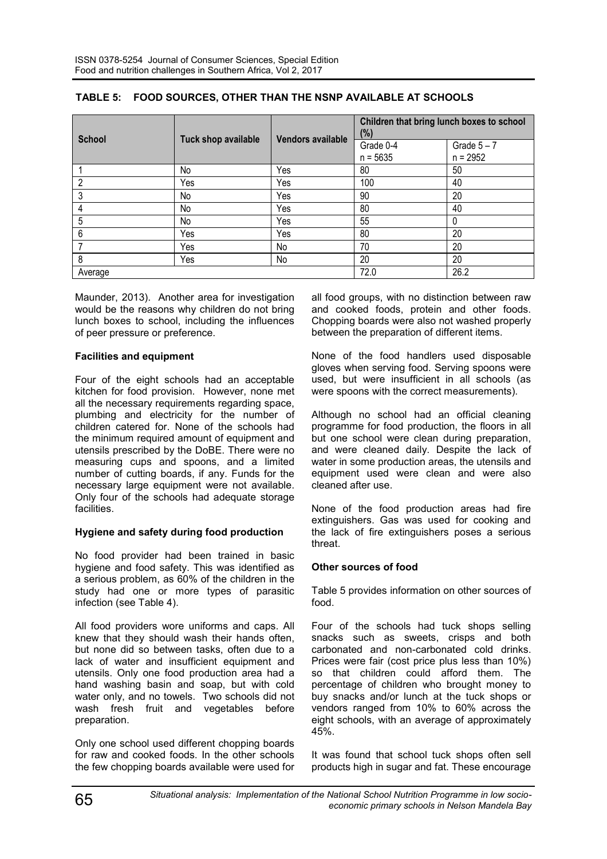| <b>School</b>   | Tuck shop available | <b>Vendors available</b> | Children that bring lunch boxes to school<br>(%) |                             |
|-----------------|---------------------|--------------------------|--------------------------------------------------|-----------------------------|
|                 |                     |                          | Grade 0-4<br>$n = 5635$                          | Grade $5 - 7$<br>$n = 2952$ |
|                 | No                  | Yes                      | 80                                               | 50                          |
| 2               | Yes                 | Yes                      | 100                                              | 40                          |
| 3               | No                  | Yes                      | 90                                               | 20                          |
| 4               | No                  | Yes                      | 80                                               | 40                          |
| 5               | No                  | Yes                      | 55                                               |                             |
| $6\overline{6}$ | Yes                 | Yes                      | 80                                               | 20                          |
|                 | Yes                 | No                       | 70                                               | 20                          |
| 8               | Yes                 | No                       | 20                                               | 20                          |
| Average         |                     |                          | 72.0                                             | 26.2                        |

## **TABLE 5: FOOD SOURCES, OTHER THAN THE NSNP AVAILABLE AT SCHOOLS**

Maunder, 2013). Another area for investigation would be the reasons why children do not bring lunch boxes to school, including the influences of peer pressure or preference.

### **Facilities and equipment**

Four of the eight schools had an acceptable kitchen for food provision. However, none met all the necessary requirements regarding space, plumbing and electricity for the number of children catered for. None of the schools had the minimum required amount of equipment and utensils prescribed by the DoBE. There were no measuring cups and spoons, and a limited number of cutting boards, if any. Funds for the necessary large equipment were not available. Only four of the schools had adequate storage facilities.

# **Hygiene and safety during food production**

No food provider had been trained in basic hygiene and food safety. This was identified as a serious problem, as 60% of the children in the study had one or more types of parasitic infection (see Table 4).

All food providers wore uniforms and caps. All knew that they should wash their hands often, but none did so between tasks, often due to a lack of water and insufficient equipment and utensils. Only one food production area had a hand washing basin and soap, but with cold water only, and no towels. Two schools did not wash fresh fruit and vegetables before preparation.

Only one school used different chopping boards for raw and cooked foods. In the other schools the few chopping boards available were used for all food groups, with no distinction between raw and cooked foods, protein and other foods. Chopping boards were also not washed properly between the preparation of different items.

None of the food handlers used disposable gloves when serving food. Serving spoons were used, but were insufficient in all schools (as were spoons with the correct measurements).

Although no school had an official cleaning programme for food production, the floors in all but one school were clean during preparation, and were cleaned daily. Despite the lack of water in some production areas, the utensils and equipment used were clean and were also cleaned after use.

None of the food production areas had fire extinguishers. Gas was used for cooking and the lack of fire extinguishers poses a serious threat.

# **Other sources of food**

Table 5 provides information on other sources of food.

Four of the schools had tuck shops selling snacks such as sweets, crisps and both carbonated and non-carbonated cold drinks. Prices were fair (cost price plus less than 10%) so that children could afford them. The percentage of children who brought money to buy snacks and/or lunch at the tuck shops or vendors ranged from 10% to 60% across the eight schools, with an average of approximately 45%.

It was found that school tuck shops often sell products high in sugar and fat. These encourage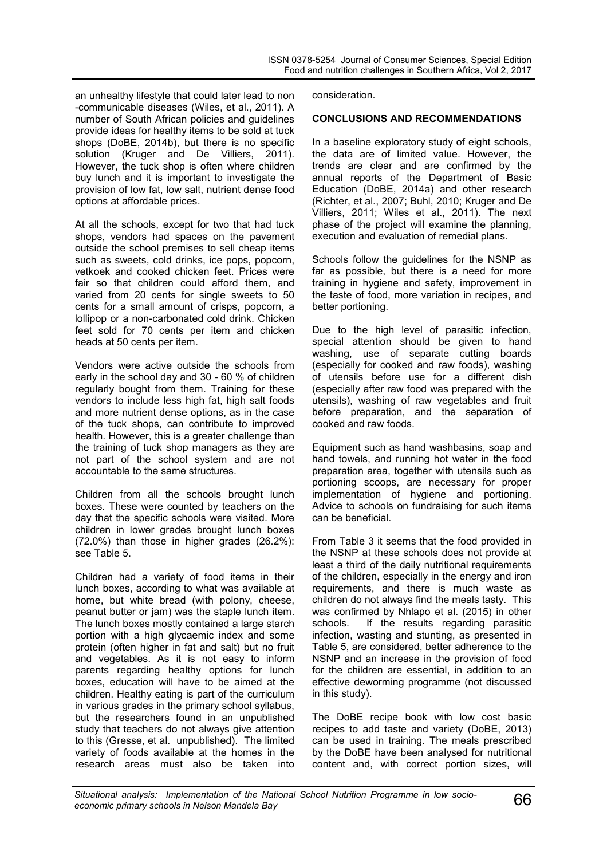an unhealthy lifestyle that could later lead to non -communicable diseases (Wiles, et al., 2011). A number of South African policies and guidelines provide ideas for healthy items to be sold at tuck shops (DoBE, 2014b), but there is no specific solution (Kruger and De Villiers, 2011). However, the tuck shop is often where children buy lunch and it is important to investigate the provision of low fat, low salt, nutrient dense food options at affordable prices.

At all the schools, except for two that had tuck shops, vendors had spaces on the pavement outside the school premises to sell cheap items such as sweets, cold drinks, ice pops, popcorn, vetkoek and cooked chicken feet. Prices were fair so that children could afford them, and varied from 20 cents for single sweets to 50 cents for a small amount of crisps, popcorn, a lollipop or a non-carbonated cold drink. Chicken feet sold for 70 cents per item and chicken heads at 50 cents per item.

Vendors were active outside the schools from early in the school day and 30 - 60 % of children regularly bought from them. Training for these vendors to include less high fat, high salt foods and more nutrient dense options, as in the case of the tuck shops, can contribute to improved health. However, this is a greater challenge than the training of tuck shop managers as they are not part of the school system and are not accountable to the same structures.

Children from all the schools brought lunch boxes. These were counted by teachers on the day that the specific schools were visited. More children in lower grades brought lunch boxes (72.0%) than those in higher grades (26.2%): see Table 5.

Children had a variety of food items in their lunch boxes, according to what was available at home, but white bread (with polony, cheese, peanut butter or jam) was the staple lunch item. The lunch boxes mostly contained a large starch portion with a high glycaemic index and some protein (often higher in fat and salt) but no fruit and vegetables. As it is not easy to inform parents regarding healthy options for lunch boxes, education will have to be aimed at the children. Healthy eating is part of the curriculum in various grades in the primary school syllabus, but the researchers found in an unpublished study that teachers do not always give attention to this (Gresse, et al. unpublished). The limited variety of foods available at the homes in the research areas must also be taken into

consideration.

#### **CONCLUSIONS AND RECOMMENDATIONS**

In a baseline exploratory study of eight schools, the data are of limited value. However, the trends are clear and are confirmed by the annual reports of the Department of Basic Education (DoBE, 2014a) and other research (Richter, et al., 2007; Buhl, 2010; Kruger and De Villiers, 2011; Wiles et al., 2011). The next phase of the project will examine the planning, execution and evaluation of remedial plans.

Schools follow the guidelines for the NSNP as far as possible, but there is a need for more training in hygiene and safety, improvement in the taste of food, more variation in recipes, and better portioning.

Due to the high level of parasitic infection, special attention should be given to hand washing, use of separate cutting boards (especially for cooked and raw foods), washing of utensils before use for a different dish (especially after raw food was prepared with the utensils), washing of raw vegetables and fruit before preparation, and the separation of cooked and raw foods.

Equipment such as hand washbasins, soap and hand towels, and running hot water in the food preparation area, together with utensils such as portioning scoops, are necessary for proper implementation of hygiene and portioning. Advice to schools on fundraising for such items can be beneficial.

From Table 3 it seems that the food provided in the NSNP at these schools does not provide at least a third of the daily nutritional requirements of the children, especially in the energy and iron requirements, and there is much waste as children do not always find the meals tasty. This was confirmed by Nhlapo et al. (2015) in other schools. If the results regarding parasitic infection, wasting and stunting, as presented in Table 5, are considered, better adherence to the NSNP and an increase in the provision of food for the children are essential, in addition to an effective deworming programme (not discussed in this study).

The DoBE recipe book with low cost basic recipes to add taste and variety (DoBE, 2013) can be used in training. The meals prescribed by the DoBE have been analysed for nutritional content and, with correct portion sizes, will

*Situational analysis: Implementation of the National School Nutrition Programme in low socio-economic primary schools in Nelson Mandela Bay* 66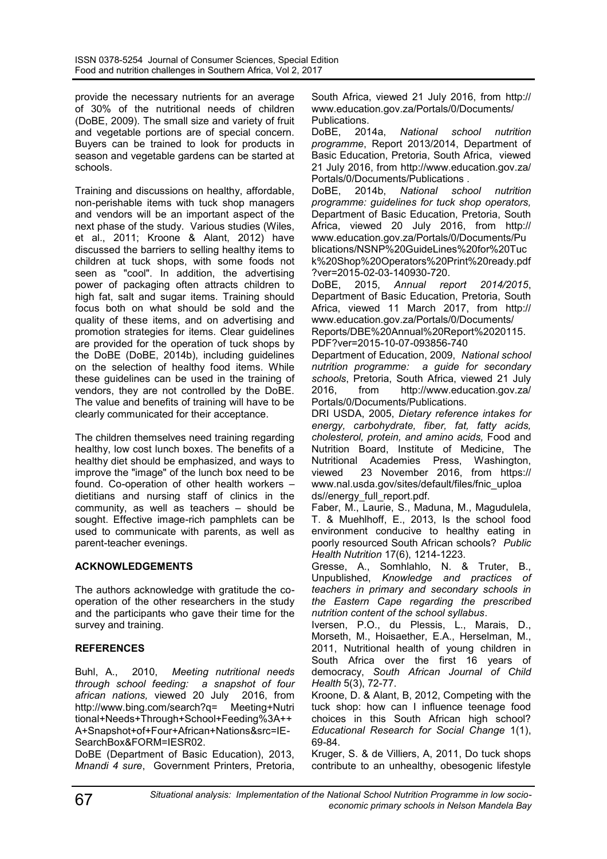provide the necessary nutrients for an average of 30% of the nutritional needs of children (DoBE, 2009). The small size and variety of fruit and vegetable portions are of special concern. Buyers can be trained to look for products in season and vegetable gardens can be started at schools.

Training and discussions on healthy, affordable, non-perishable items with tuck shop managers and vendors will be an important aspect of the next phase of the study. Various studies (Wiles, et al., 2011; Kroone & Alant, 2012) have discussed the barriers to selling healthy items to children at tuck shops, with some foods not seen as "cool". In addition, the advertising power of packaging often attracts children to high fat, salt and sugar items. Training should focus both on what should be sold and the quality of these items, and on advertising and promotion strategies for items. Clear guidelines are provided for the operation of tuck shops by the DoBE (DoBE, 2014b), including guidelines on the selection of healthy food items. While these guidelines can be used in the training of vendors, they are not controlled by the DoBE. The value and benefits of training will have to be clearly communicated for their acceptance.

The children themselves need training regarding healthy, low cost lunch boxes. The benefits of a healthy diet should be emphasized, and ways to improve the "image" of the lunch box need to be found. Co-operation of other health workers dietitians and nursing staff of clinics in the community, as well as teachers  $-$  should be sought. Effective image-rich pamphlets can be used to communicate with parents, as well as parent-teacher evenings.

### **ACKNOWLEDGEMENTS**

The authors acknowledge with gratitude the cooperation of the other researchers in the study and the participants who gave their time for the survey and training.

# **REFERENCES**

Buhl, A., 2010, *Meeting nutritional needs through school feeding: a snapshot of four african nations,* viewed 20 July 2016, from http://www.bing.com/search?q= Meeting+Nutri tional+Needs+Through+School+Feeding%3A++ A+Snapshot+of+Four+African+Nations&src=IE-SearchBox&FORM=IESR02.

DoBE (Department of Basic Education), 2013, *Mnandi 4 sure*, Government Printers, Pretoria, South Africa, viewed 21 July 2016, from http:// www.education.gov.za/Portals/0/Documents/ Publications.<br>DoBE. 201

DoBE, 2014a, *National school nutrition programme*, Report 2013/2014, Department of Basic Education, Pretoria, South Africa, viewed 21 July 2016, from http://www.education.gov.za/ Portals/0/Documents/Publications .

DoBE, 2014b, *National school nutrition programme: guidelines for tuck shop operators,* Department of Basic Education, Pretoria, South Africa, viewed 20 July 2016, from http:// www.education.gov.za/Portals/0/Documents/Pu blications/NSNP%20GuideLines%20for%20Tuc k%20Shop%20Operators%20Print%20ready.pdf ?ver=2015-02-03-140930-720.

DoBE, 2015, *Annual report 2014/2015*, Department of Basic Education, Pretoria, South Africa, viewed 11 March 2017, from http:// www.education.gov.za/Portals/0/Documents/ Reports/DBE%20Annual%20Report%2020115. PDF?ver=2015-10-07-093856-740

Department of Education, 2009, *National school nutrition programme: a guide for secondary schools*, Pretoria, South Africa, viewed 21 July 2016, from http://www.education.gov.za/ Portals/0/Documents/Publications.

DRI USDA, 2005, *Dietary reference intakes for energy, carbohydrate, fiber, fat, fatty acids, cholesterol, protein, and amino acids,* Food and Nutrition Board, Institute of Medicine, The Nutritional Academies Press, Washington, viewed 23 November 2016, from https:// www.nal.usda.gov/sites/default/files/fnic\_uploa ds//energy\_full\_report.pdf.

Faber, M., Laurie, S., Maduna, M., Magudulela, T. & Muehlhoff, E., 2013, Is the school food environment conducive to healthy eating in poorly resourced South African schools? *Public Health Nutrition* 17(6), 1214-1223.

Gresse, A., Somhlahlo, N. & Truter, B., Unpublished, *Knowledge and practices of teachers in primary and secondary schools in the Eastern Cape regarding the prescribed nutrition content of the school syllabus*.

Iversen, P.O., du Plessis, L., Marais, D., Morseth, M., Hoisaether, E.A., Herselman, M., 2011, Nutritional health of young children in South Africa over the first 16 years of democracy, *South African Journal of Child Health* 5(3), 72-77.

Kroone, D. & Alant, B, 2012, Competing with the tuck shop: how can I influence teenage food choices in this South African high school? *Educational Research for Social Change* 1(1), 69-84.

Kruger, S. & de Villiers, A, 2011, Do tuck shops contribute to an unhealthy, obesogenic lifestyle